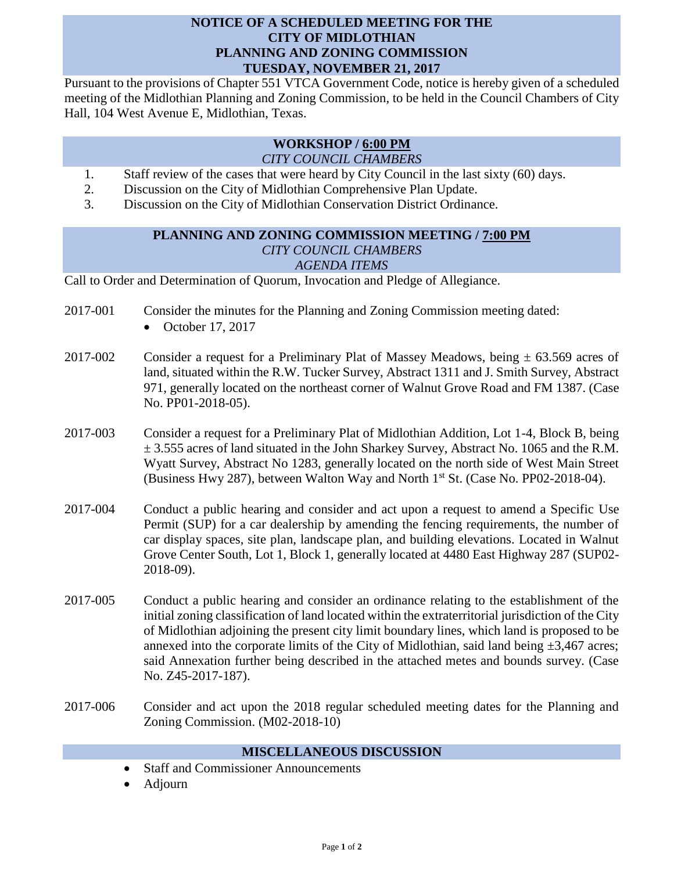## **NOTICE OF A SCHEDULED MEETING FOR THE CITY OF MIDLOTHIAN PLANNING AND ZONING COMMISSION TUESDAY, NOVEMBER 21, 2017**

Pursuant to the provisions of Chapter 551 VTCA Government Code, notice is hereby given of a scheduled meeting of the Midlothian Planning and Zoning Commission, to be held in the Council Chambers of City Hall, 104 West Avenue E, Midlothian, Texas.

## **WORKSHOP / 6:00 PM** *CITY COUNCIL CHAMBERS*

- 1. Staff review of the cases that were heard by City Council in the last sixty (60) days.
- 2. Discussion on the City of Midlothian Comprehensive Plan Update.
- 3. Discussion on the City of Midlothian Conservation District Ordinance.

## **PLANNING AND ZONING COMMISSION MEETING / 7:00 PM** *CITY COUNCIL CHAMBERS AGENDA ITEMS*

Call to Order and Determination of Quorum, Invocation and Pledge of Allegiance.

- 2017-001 Consider the minutes for the Planning and Zoning Commission meeting dated:
	- October 17, 2017
- 2017-002 Consider a request for a Preliminary Plat of Massey Meadows, being  $\pm$  63.569 acres of land, situated within the R.W. Tucker Survey, Abstract 1311 and J. Smith Survey, Abstract 971, generally located on the northeast corner of Walnut Grove Road and FM 1387. (Case No. PP01-2018-05).
- 2017-003 Consider a request for a Preliminary Plat of Midlothian Addition, Lot 1-4, Block B, being  $\pm$  3.555 acres of land situated in the John Sharkey Survey, Abstract No. 1065 and the R.M. Wyatt Survey, Abstract No 1283, generally located on the north side of West Main Street (Business Hwy 287), between Walton Way and North 1<sup>st</sup> St. (Case No. PP02-2018-04).
- 2017-004 Conduct a public hearing and consider and act upon a request to amend a Specific Use Permit (SUP) for a car dealership by amending the fencing requirements, the number of car display spaces, site plan, landscape plan, and building elevations. Located in Walnut Grove Center South, Lot 1, Block 1, generally located at 4480 East Highway 287 (SUP02- 2018-09).
- 2017-005 Conduct a public hearing and consider an ordinance relating to the establishment of the initial zoning classification of land located within the extraterritorial jurisdiction of the City of Midlothian adjoining the present city limit boundary lines, which land is proposed to be annexed into the corporate limits of the City of Midlothian, said land being  $\pm 3,467$  acres; said Annexation further being described in the attached metes and bounds survey. (Case No. Z45-2017-187).
- 2017-006 Consider and act upon the 2018 regular scheduled meeting dates for the Planning and Zoning Commission. (M02-2018-10)

## **MISCELLANEOUS DISCUSSION**

- Staff and Commissioner Announcements
- Adjourn